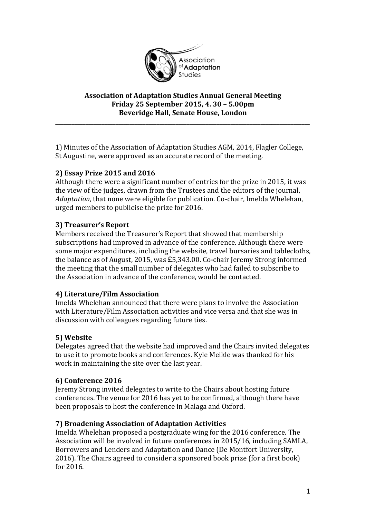

#### **Association of Adaptation Studies Annual General Meeting Friday 25 September 2015, 4. 30 – 5.00pm Beveridge Hall, Senate House, London**

**\_\_\_\_\_\_\_\_\_\_\_\_\_\_\_\_\_\_\_\_\_\_\_\_\_\_\_\_\_\_\_\_\_\_\_\_\_\_\_\_\_\_\_\_\_\_\_\_\_\_\_\_\_\_\_\_\_\_\_\_\_\_\_\_\_\_\_\_\_\_\_\_\_\_\_\_\_\_\_\_\_\_\_\_\_\_\_\_\_\_\_\_\_**

1) Minutes of the Association of Adaptation Studies AGM, 2014, Flagler College, St Augustine, were approved as an accurate record of the meeting.

## **2) Essay Prize 2015 and 2016**

Although there were a significant number of entries for the prize in 2015, it was the view of the judges, drawn from the Trustees and the editors of the journal, *Adaptation,* that none were eligible for publication. Co-chair, Imelda Whelehan, urged members to publicise the prize for 2016.

## **3) Treasurer's Report**

Members received the Treasurer's Report that showed that membership subscriptions had improved in advance of the conference. Although there were some major expenditures, including the website, travel bursaries and tablecloths, the balance as of August, 2015, was £5,343.00. Co-chair Jeremy Strong informed the meeting that the small number of delegates who had failed to subscribe to the Association in advance of the conference, would be contacted.

### **4) Literature/Film Association**

Imelda Whelehan announced that there were plans to involve the Association with Literature/Film Association activities and vice versa and that she was in discussion with colleagues regarding future ties.

# **5) Website**

Delegates agreed that the website had improved and the Chairs invited delegates to use it to promote books and conferences. Kyle Meikle was thanked for his work in maintaining the site over the last year.

# **6) Conference 2016**

Jeremy Strong invited delegates to write to the Chairs about hosting future conferences. The venue for 2016 has yet to be confirmed, although there have been proposals to host the conference in Malaga and Oxford.

### **7) Broadening Association of Adaptation Activities**

Imelda Whelehan proposed a postgraduate wing for the 2016 conference. The Association will be involved in future conferences in 2015/16, including SAMLA, Borrowers and Lenders and Adaptation and Dance (De Montfort University, 2016). The Chairs agreed to consider a sponsored book prize (for a first book) for 2016.